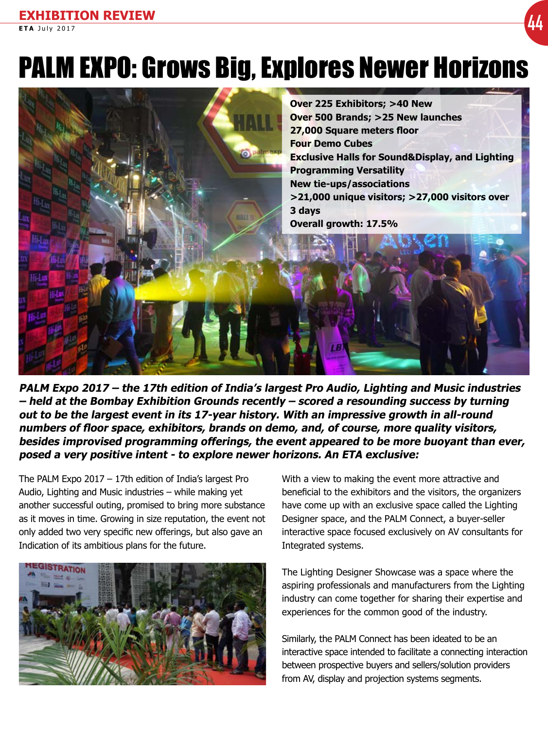# PALM EXPO: Grows Big, Explores Newer Horizons



**PALM Expo 2017 – the 17th edition of India's largest Pro Audio, Lighting and Music industries – held at the Bombay Exhibition Grounds recently – scored a resounding success by turning out to be the largest event in its 17-year history. With an impressive growth in all-round numbers of floor space, exhibitors, brands on demo, and, of course, more quality visitors, besides improvised programming offerings, the event appeared to be more buoyant than ever, posed a very positive intent - to explore newer horizons. An ETA exclusive:**

The PALM Expo 2017 – 17th edition of India's largest Pro Audio, Lighting and Music industries – while making yet another successful outing, promised to bring more substance as it moves in time. Growing in size reputation, the event not only added two very specific new offerings, but also gave an Indication of its ambitious plans for the future.



With a view to making the event more attractive and beneficial to the exhibitors and the visitors, the organizers have come up with an exclusive space called the Lighting Designer space, and the PALM Connect, a buyer-seller interactive space focused exclusively on AV consultants for Integrated systems.

The Lighting Designer Showcase was a space where the aspiring professionals and manufacturers from the Lighting industry can come together for sharing their expertise and experiences for the common good of the industry.

Similarly, the PALM Connect has been ideated to be an interactive space intended to facilitate a connecting interaction between prospective buyers and sellers/solution providers from AV, display and projection systems segments.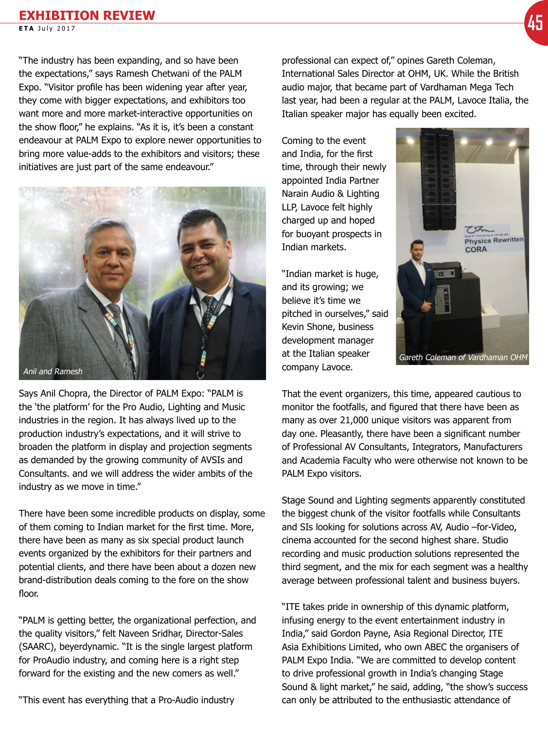## **EXHIBITION REVIEW EXTREM TECH REVIEW** (4<mark>5</mark>

"The industry has been expanding, and so have been the expectations," says Ramesh Chetwani of the PALM Expo. "Visitor profile has been widening year after year, they come with bigger expectations, and exhibitors too want more and more market-interactive opportunities on the show floor," he explains. "As it is, it's been a constant endeavour at PALM Expo to explore newer opportunities to bring more value-adds to the exhibitors and visitors; these initiatives are just part of the same endeavour."



Says Anil Chopra, the Director of PALM Expo: "PALM is the 'the platform' for the Pro Audio, Lighting and Music industries in the region. It has always lived up to the production industry's expectations, and it will strive to broaden the platform in display and projection segments as demanded by the growing community of AVSIs and Consultants. and we will address the wider ambits of the industry as we move in time."

There have been some incredible products on display, some of them coming to Indian market for the first time. More, there have been as many as six special product launch events organized by the exhibitors for their partners and potential clients, and there have been about a dozen new brand-distribution deals coming to the fore on the show floor.

"PALM is getting better, the organizational perfection, and the quality visitors," felt Naveen Sridhar, Director-Sales (SAARC), beyerdynamic. "It is the single largest platform for ProAudio industry, and coming here is a right step forward for the existing and the new comers as well."

"This event has everything that a Pro-Audio industry

professional can expect of," opines Gareth Coleman, International Sales Director at OHM, UK. While the British audio major, that became part of Vardhaman Mega Tech last year, had been a regular at the PALM, Lavoce Italia, the Italian speaker major has equally been excited.

Coming to the event and India, for the first time, through their newly appointed India Partner Narain Audio & Lighting LLP, Lavoce felt highly charged up and hoped for buoyant prospects in Indian markets.

"Indian market is huge, and its growing; we believe it's time we pitched in ourselves," said Kevin Shone, business development manager at the Italian speaker company Lavoce.



That the event organizers, this time, appeared cautious to monitor the footfalls, and figured that there have been as many as over 21,000 unique visitors was apparent from day one. Pleasantly, there have been a significant number of Professional AV Consultants, Integrators, Manufacturers and Academia Faculty who were otherwise not known to be PALM Expo visitors.

Stage Sound and Lighting segments apparently constituted the biggest chunk of the visitor footfalls while Consultants and SIs looking for solutions across AV, Audio –for-Video, cinema accounted for the second highest share. Studio recording and music production solutions represented the third segment, and the mix for each segment was a healthy average between professional talent and business buyers.

"ITE takes pride in ownership of this dynamic platform, infusing energy to the event entertainment industry in India," said Gordon Payne, Asia Regional Director, ITE Asia Exhibitions Limited, who own ABEC the organisers of PALM Expo India. "We are committed to develop content to drive professional growth in India's changing Stage Sound & light market," he said, adding, "the show's success can only be attributed to the enthusiastic attendance of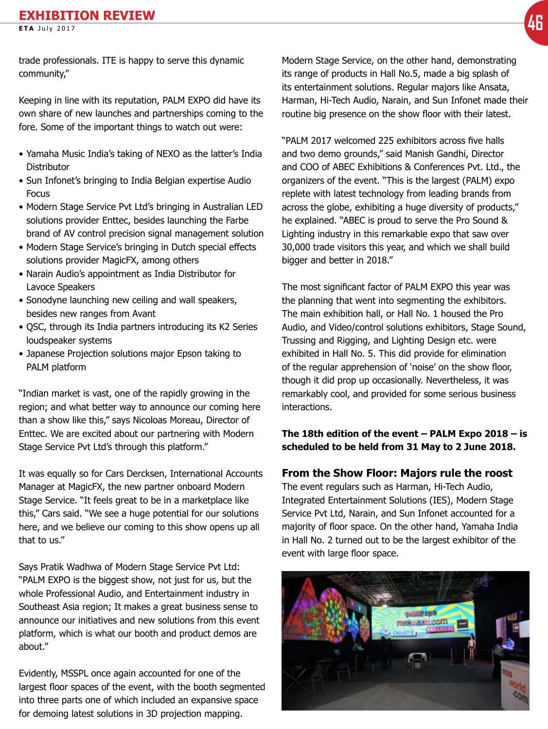trade professionals. ITE is happy to serve this dynamic community,"

Keeping in line with its reputation, PALM EXPO did have its own share of new launches and partnerships coming to the fore. Some of the important things to watch out were:

- Yamaha Music India's taking of NEXO as the latter's India **Distributor**
- Sun Infonet's bringing to India Belgian expertise Audio **Focus**
- Modern Stage Service Pvt Ltd's bringing in Australian LED solutions provider Enttec, besides launching the Farbe brand of AV control precision signal management solution
- Modern Stage Service's bringing in Dutch special effects solutions provider MagicFX, among others
- Narain Audio's appointment as India Distributor for Lavoce Speakers
- Sonodyne launching new ceiling and wall speakers, besides new ranges from Avant
- QSC, through its India partners introducing its K2 Series loudspeaker systems
- Japanese Projection solutions major Epson taking to PALM platform

"Indian market is vast, one of the rapidly growing in the region; and what better way to announce our coming here than a show like this," says Nicoloas Moreau, Director of Enttec. We are excited about our partnering with Modern Stage Service Pvt Ltd's through this platform."

It was equally so for Cars Dercksen, International Accounts Manager at MagicFX, the new partner onboard Modern Stage Service. "It feels great to be in a marketplace like this," Cars said. "We see a huge potential for our solutions here, and we believe our coming to this show opens up all that to us."

Says Pratik Wadhwa of Modern Stage Service Pvt Ltd: "PALM EXPO is the biggest show, not just for us, but the whole Professional Audio, and Entertainment industry in Southeast Asia region; It makes a great business sense to announce our initiatives and new solutions from this event platform, which is what our booth and product demos are about."

Evidently, MSSPL once again accounted for one of the largest floor spaces of the event, with the booth segmented into three parts one of which included an expansive space for demoing latest solutions in 3D projection mapping.

Modern Stage Service, on the other hand, demonstrating its range of products in Hall No.5, made a big splash of its entertainment solutions. Regular majors like Ansata, Harman, Hi-Tech Audio, Narain, and Sun Infonet made their routine big presence on the show floor with their latest.

"PALM 2017 welcomed 225 exhibitors across five halls and two demo grounds," said Manish Gandhi, Director and COO of ABEC Exhibitions & Conferences Pvt. Ltd., the organizers of the event. "This is the largest (PALM) expo replete with latest technology from leading brands from across the globe, exhibiting a huge diversity of products," he explained. "ABEC is proud to serve the Pro Sound & Lighting industry in this remarkable expo that saw over 30,000 trade visitors this year, and which we shall build bigger and better in 2018."

The most significant factor of PALM EXPO this year was the planning that went into segmenting the exhibitors. The main exhibition hall, or Hall No. 1 housed the Pro Audio, and Video/control solutions exhibitors, Stage Sound, Trussing and Rigging, and Lighting Design etc. were exhibited in Hall No. 5. This did provide for elimination of the regular apprehension of 'noise' on the show floor, though it did prop up occasionally. Nevertheless, it was remarkably cool, and provided for some serious business interactions.

### **The 18th edition of the event – PALM Expo 2018 – is scheduled to be held from 31 May to 2 June 2018.**

#### **From the Show Floor: Majors rule the roost**

The event regulars such as Harman, Hi-Tech Audio, Integrated Entertainment Solutions (IES), Modern Stage Service Pvt Ltd, Narain, and Sun Infonet accounted for a majority of floor space. On the other hand, Yamaha India in Hall No. 2 turned out to be the largest exhibitor of the event with large floor space.

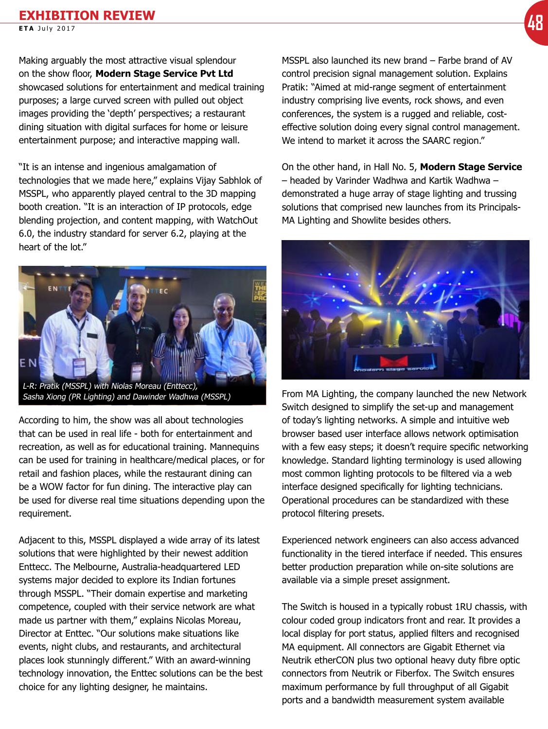Making arguably the most attractive visual splendour on the show floor, **Modern Stage Service Pvt Ltd** showcased solutions for entertainment and medical training purposes; a large curved screen with pulled out object images providing the 'depth' perspectives; a restaurant dining situation with digital surfaces for home or leisure entertainment purpose; and interactive mapping wall.

"It is an intense and ingenious amalgamation of technologies that we made here," explains Vijay Sabhlok of MSSPL, who apparently played central to the 3D mapping booth creation. "It is an interaction of IP protocols, edge blending projection, and content mapping, with WatchOut 6.0, the industry standard for server 6.2, playing at the heart of the lot."



Sasha Xiong (PR Lighting) and Dawinder Wadhwa (MSSPL)

According to him, the show was all about technologies that can be used in real life - both for entertainment and recreation, as well as for educational training. Mannequins can be used for training in healthcare/medical places, or for retail and fashion places, while the restaurant dining can be a WOW factor for fun dining. The interactive play can be used for diverse real time situations depending upon the requirement.

Adjacent to this, MSSPL displayed a wide array of its latest solutions that were highlighted by their newest addition Enttecc. The Melbourne, Australia-headquartered LED systems major decided to explore its Indian fortunes through MSSPL. "Their domain expertise and marketing competence, coupled with their service network are what made us partner with them," explains Nicolas Moreau, Director at Enttec. "Our solutions make situations like events, night clubs, and restaurants, and architectural places look stunningly different." With an award-winning technology innovation, the Enttec solutions can be the best choice for any lighting designer, he maintains.

MSSPL also launched its new brand – Farbe brand of AV control precision signal management solution. Explains Pratik: "Aimed at mid-range segment of entertainment industry comprising live events, rock shows, and even conferences, the system is a rugged and reliable, costeffective solution doing every signal control management. We intend to market it across the SAARC region."

On the other hand, in Hall No. 5, **Modern Stage Service** – headed by Varinder Wadhwa and Kartik Wadhwa – demonstrated a huge array of stage lighting and trussing solutions that comprised new launches from its Principals-MA Lighting and Showlite besides others.



From MA Lighting, the company launched the new Network Switch designed to simplify the set-up and management of today's lighting networks. A simple and intuitive web browser based user interface allows network optimisation with a few easy steps; it doesn't require specific networking knowledge. Standard lighting terminology is used allowing most common lighting protocols to be filtered via a web interface designed specifically for lighting technicians. Operational procedures can be standardized with these protocol filtering presets.

Experienced network engineers can also access advanced functionality in the tiered interface if needed. This ensures better production preparation while on-site solutions are available via a simple preset assignment.

The Switch is housed in a typically robust 1RU chassis, with colour coded group indicators front and rear. It provides a local display for port status, applied filters and recognised MA equipment. All connectors are Gigabit Ethernet via Neutrik etherCON plus two optional heavy duty fibre optic connectors from Neutrik or Fiberfox. The Switch ensures maximum performance by full throughput of all Gigabit ports and a bandwidth measurement system available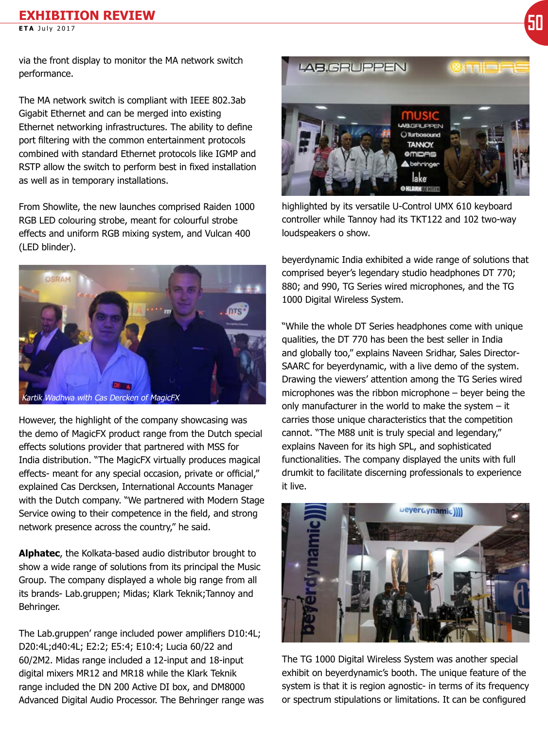via the front display to monitor the MA network switch performance.

The MA network switch is compliant with IEEE 802.3ab Gigabit Ethernet and can be merged into existing Ethernet networking infrastructures. The ability to define port filtering with the common entertainment protocols combined with standard Ethernet protocols like IGMP and RSTP allow the switch to perform best in fixed installation as well as in temporary installations.

From Showlite, the new launches comprised Raiden 1000 RGB LED colouring strobe, meant for colourful strobe effects and uniform RGB mixing system, and Vulcan 400 (LED blinder).



However, the highlight of the company showcasing was the demo of MagicFX product range from the Dutch special effects solutions provider that partnered with MSS for India distribution. "The MagicFX virtually produces magical effects- meant for any special occasion, private or official," explained Cas Dercksen, International Accounts Manager with the Dutch company. "We partnered with Modern Stage Service owing to their competence in the field, and strong network presence across the country," he said.

**Alphatec**, the Kolkata-based audio distributor brought to show a wide range of solutions from its principal the Music Group. The company displayed a whole big range from all its brands- Lab.gruppen; Midas; Klark Teknik;Tannoy and Behringer.

The Lab.gruppen' range included power amplifiers D10:4L; D20:4L;d40:4L; E2:2; E5:4; E10:4; Lucia 60/22 and 60/2M2. Midas range included a 12-input and 18-input digital mixers MR12 and MR18 while the Klark Teknik range included the DN 200 Active DI box, and DM8000 Advanced Digital Audio Processor. The Behringer range was



highlighted by its versatile U-Control UMX 610 keyboard controller while Tannoy had its TKT122 and 102 two-way loudspeakers o show.

beyerdynamic India exhibited a wide range of solutions that comprised beyer's legendary studio headphones DT 770; 880; and 990, TG Series wired microphones, and the TG 1000 Digital Wireless System.

"While the whole DT Series headphones come with unique qualities, the DT 770 has been the best seller in India and globally too," explains Naveen Sridhar, Sales Director-SAARC for beyerdynamic, with a live demo of the system. Drawing the viewers' attention among the TG Series wired microphones was the ribbon microphone – beyer being the only manufacturer in the world to make the system – it carries those unique characteristics that the competition cannot. "The M88 unit is truly special and legendary," explains Naveen for its high SPL, and sophisticated functionalities. The company displayed the units with full drumkit to facilitate discerning professionals to experience it live.



The TG 1000 Digital Wireless System was another special exhibit on beyerdynamic's booth. The unique feature of the system is that it is region agnostic- in terms of its frequency or spectrum stipulations or limitations. It can be configured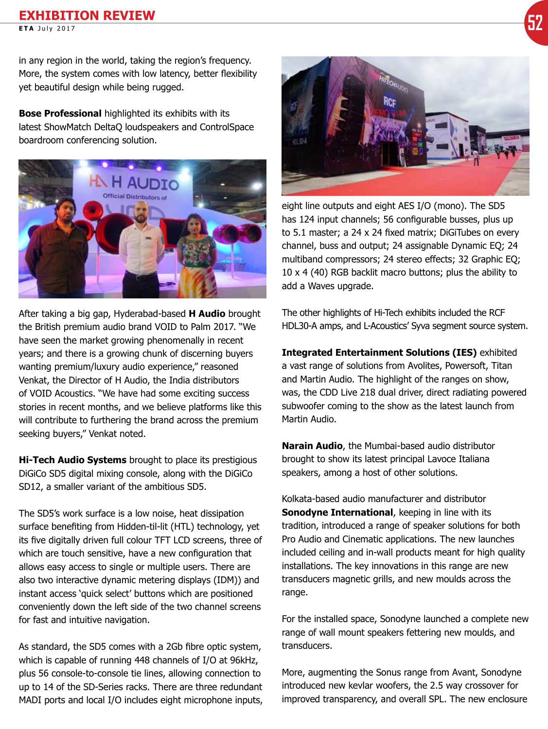## **EXHIBITION REVIEW EXTREM THE REVIEW CONSUMING THE REVIEW CONSUMING THE REVIEW CONSUMING THE REVIEW OF A SUBJECT POWER CONSUMING TO A SUBJECT POWER CONSUMING TO A SUBJECT POWER CONSUMING TO A SUBJECT POWER CONSUMING TO A SUBJECT POWER CONSU**

in any region in the world, taking the region's frequency. More, the system comes with low latency, better flexibility yet beautiful design while being rugged.

**Bose Professional** highlighted its exhibits with its latest ShowMatch DeltaQ loudspeakers and ControlSpace boardroom conferencing solution.



After taking a big gap, Hyderabad-based **H Audio** brought the British premium audio brand VOID to Palm 2017. "We have seen the market growing phenomenally in recent years; and there is a growing chunk of discerning buyers wanting premium/luxury audio experience," reasoned Venkat, the Director of H Audio, the India distributors of VOID Acoustics. "We have had some exciting success stories in recent months, and we believe platforms like this will contribute to furthering the brand across the premium seeking buyers," Venkat noted.

**Hi-Tech Audio Systems** brought to place its prestigious DiGiCo SD5 digital mixing console, along with the DiGiCo SD12, a smaller variant of the ambitious SD5.

The SD5's work surface is a low noise, heat dissipation surface benefiting from Hidden-til-lit (HTL) technology, yet its five digitally driven full colour TFT LCD screens, three of which are touch sensitive, have a new configuration that allows easy access to single or multiple users. There are also two interactive dynamic metering displays (IDM)) and instant access 'quick select' buttons which are positioned conveniently down the left side of the two channel screens for fast and intuitive navigation.

As standard, the SD5 comes with a 2Gb fibre optic system, which is capable of running 448 channels of I/O at 96kHz, plus 56 console-to-console tie lines, allowing connection to up to 14 of the SD-Series racks. There are three redundant MADI ports and local I/O includes eight microphone inputs,



eight line outputs and eight AES I/O (mono). The SD5 has 124 input channels; 56 configurable busses, plus up to 5.1 master; a 24 x 24 fixed matrix; DiGiTubes on every channel, buss and output; 24 assignable Dynamic EQ; 24 multiband compressors; 24 stereo effects; 32 Graphic EQ; 10 x 4 (40) RGB backlit macro buttons; plus the ability to add a Waves upgrade.

The other highlights of Hi-Tech exhibits included the RCF HDL30-A amps, and L-Acoustics' Syva segment source system.

**Integrated Entertainment Solutions (IES)** exhibited a vast range of solutions from Avolites, Powersoft, Titan and Martin Audio. The highlight of the ranges on show, was, the CDD Live 218 dual driver, direct radiating powered subwoofer coming to the show as the latest launch from Martin Audio.

**Narain Audio**, the Mumbai-based audio distributor brought to show its latest principal Lavoce Italiana speakers, among a host of other solutions.

Kolkata-based audio manufacturer and distributor **Sonodyne International**, keeping in line with its tradition, introduced a range of speaker solutions for both Pro Audio and Cinematic applications. The new launches included ceiling and in-wall products meant for high quality installations. The key innovations in this range are new transducers magnetic grills, and new moulds across the range.

For the installed space, Sonodyne launched a complete new range of wall mount speakers fettering new moulds, and transducers.

More, augmenting the Sonus range from Avant, Sonodyne introduced new kevlar woofers, the 2.5 way crossover for improved transparency, and overall SPL. The new enclosure